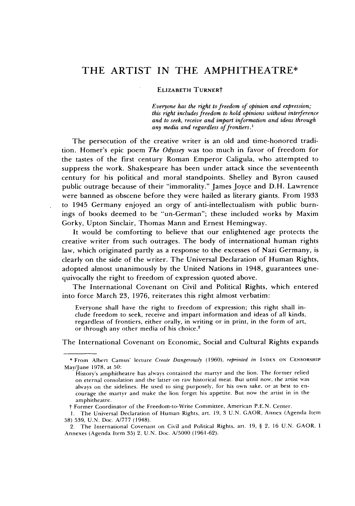## THE ARTIST **IN** THE AMPHITHEATRE\*

## ELIZABETH TURNERt

*Everyone has the right to freedom of opinion and expression; this right includes freedom to hold opinions without interference and to seek, receive and impart information and ideas through any media and regardless of frontiers.'*

The persecution of the creative writer is an old and time-honored tradition. Homer's epic poem *The Odyssey* was too much in favor of freedom for the tastes of the first century Roman Emperor Caligula, who attempted to suppress the work. Shakespeare has been under attack since the seventeenth century for his political and moral standpoints. Shelley and Byron caused public outrage because of their "immorality." James Joyce and D.H. Lawrence were banned as obscene before they were hailed as literary giants. From 1933 to 1945 Germany enjoyed an orgy of anti-intellectualism with public burnings of books deemed to be "un-German"; these included works by Maxim Gorky, Upton Sinclair, Thomas Mann and Ernest Hemingway.

It would be comforting to believe that our enlightened age protects the creative writer from such outrages. The body of international human rights law, which originated partly as a response to the excesses of Nazi Germany, is clearly on the side of the writer. The Universal Declaration of Human Rights, adopted almost unanimously by the United Nations in 1948, guarantees unequivocally the right to freedom of expression quoted above.

The International Covenant on Civil and Political Rights, which entered into force March 23, 1976, reiterates this right almost verbatim:

Everyone shall have the right to freedom of expression; this right shall include freedom to seek, receive and impart information and ideas of all kinds, regardless of frontiers, either orally, in writing or in print, in the form of art, or through any other media of his choice.2

The International Covenant on Economic, Social and Cultural Rights expands

<sup>\*</sup> From Albert Camus' lecture Create *Dangerously* **(1960),** *reprinted in* **INDEX ON** CENSORSHIP May/June 1978, at 50:

History's amphitheatre has always contained the martyr and the lion. The former relied on eternal consolation and the latter on raw historical meat. But until now, the artist was always on the sidelines. He used to sing purposely, for his own sake, or at best to encourage the martyr and make the lion forget his appetite. But now the artist in in the amphitheatre.

t Former Coordinator of the Freedom-to-Write Committee, American **P.E.N.** Center.

**<sup>1.</sup>** The Universal Declaration of Human Rights, art. 19, **3** U.N. GAOR, Annex (Agenda Item **58)** 539, U.N. Doc. A/777 (1948).

<sup>2.</sup> The International Covenant on Civil and Political Rights, art. 19, § 2, 16 U.N. GAOR. **I** Annexes (Agenda Item 35) 2, U.N. Doc. A/5000 (1961-62).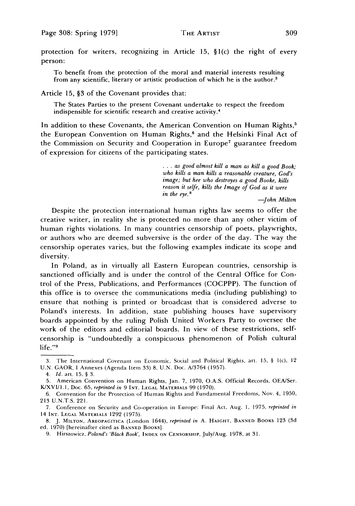protection for writers, recognizing in Article 15, §1(c) the right of every person:

To benefit from the protection of the moral and material interests resulting from any scientific, literary or artistic production of which he is the author.3

Article 15, §3 of the Covenant provides that:

The States Parties to the present Covenant undertake to respect the freedom indispensible for scientific research and creative activity. <sup>4</sup>

In addition to these Covenants, the American Convention on Human Rights,<sup>5</sup> the European Convention on Human Rights,<sup>6</sup> and the Helsinki Final Act of the Commission on Security and Cooperation in Europe<sup>7</sup> guarantee freedom of expression for citizens of the participating states.

> **...** *as good almost kill a man as kill a good Book; who kills a man kills a reasonable creature, God's image; but hee who destroyes a good Booke, kills reason it selfe, kills the Image of God as it were in the eye.*<sup>8</sup> - *John Milton*

Despite the protection international human rights law seems to offer the creative writer, in reality she is protected no more than any other victim of human rights violations. In many countries censorship of poets, playwrights, or authors who are deemed subversive is the order of the day. The way the censorship operates varies, but the following examples indicate its scope and diversity.

In Poland, as in virtually all Eastern European countries, censorship is sanctioned officially and is under the control of the Central Office for Control of the Press, Publications, and Performances (COCPPP). The function of this office is to oversee the communications media (including publishing) to ensure that nothing is printed or broadcast that is considered adverse to Poland's interests. In addition, state publishing houses have supervisory boards appointed by the ruling Polish United Workers Party to oversee the work of the editors and editorial boards. In view of these restrictions, selfcensorship is "undoubtedly a conspicuous phenomenon of Polish cultural life."<sup>9</sup>

<sup>3.</sup> The International Covenant on Economic, Social and Political Rights, art. 15, § 1(c), 12 U.N. GAOR, I Annexes (Agenda Item 33) 8, U.N. Doc. A/3764 (1957).

<sup>4.</sup> *Id.* art. **15,** § 3.

<sup>5.</sup> American Convention on Human Rights, Jan. 7, 1970, O.A.S. Official Records, OEA/Ser. K/XVI/1.I, Doc. 65, *reprinted in* 9 **INT. LEGAL** MATERIALS 99(1970).

<sup>6.</sup> Convention for the Protection of Human Rights and Fundamental Freedoms, Nov. 4, 1950, 213 **U.N.TS.** 221.

<sup>7.</sup> Conference **on** gecurity and Co-operation in Europe: Final Act, Aug. 1, 1975, *reprinted in* 14 **INT. LEGAL** MATERIALS 1292 (1975).

**<sup>8.</sup> J. MILTON, AREOPAGITICA** (London 1644), *reprinted* in A. **HAIGHT, BANNED** BOOKS 123 (3d ed. 1970) [hereinafter cited as **BANNED** BOOKS].

<sup>9.</sup> Hirszowicz, Poland's 'Black Book', INDEX ON CENSORSHIP, July/Aug. 1978, at 31.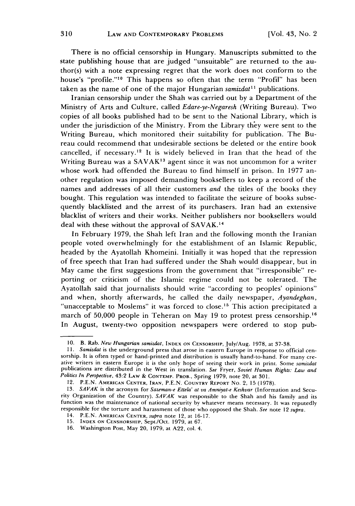There is no official censorship in Hungary. Manuscripts submitted to the state publishing house that are judged "unsuitable" are returned to the author(s) with a note expressing regret that the work does not conform to the house's "profile."'10 This happens so often that the term "Profil" has been taken as the name of one of the major Hungarian *samizdat"* publications.

Iranian censorship under the Shah was carried out by a Department of the Ministry of Arts and Culture, called *Edare-ye-Negaresh* (Writing Bureau). Two copies of all books published had to be sent to the National Library, which is under the jurisdiction of the Ministry. From the Library they were sent to the Writing Bureau, which monitored their suitability for publication. The Bureau could recommend that undesirable sections be deleted or the entire book cancelled, if necessary.<sup>12</sup> It is widely believed in Iran that the head of the Writing Bureau was a SAVAK<sup>13</sup> agent since it was not uncommon for a writer whose work had offended the Bureau to find himself in prison. In 1977 another regulation was imposed demanding booksellers to keep a record of the names and addresses of all their customers *and* the titles of the books they bought. This regulation was intended to facilitate the seizure of books subsequently blacklisted and the arrest of its purchasers. Iran had an extensive blacklist of writers and their works. Neither publishers nor booksellers would deal with these without the approval of SAVAK.<sup>14</sup>

In February 1979, the Shah left Iran and the following month the Iranian people voted overwhelmingly for the establishment of an Islamic Republic, headed by the Ayatollah Khomeini. Initially it was hoped that the repression of free speech that Iran had suffered under the Shah would disappear, but in May came the first suggestions from the government that "irresponsible" reporting or criticism of the Islamic regime could not be tolerated. The Ayatollah said that journalists should write "according to peoples' opinions" and when, shortly afterwards, he called the daily newspaper, *Ayandeghan,* "unacceptable to Moslems" it was forced to close.15 This action precipitated a march of 50,000 people in Teheran on May 19 to protest press censorship.<sup>16</sup> In August, twenty-two opposition newspapers were ordered to stop pub-

<sup>10.</sup> B. Rab. *New Hungarian samizdat*, INDEX ON CENSORSHIP, July/Aug. 1978, at 37-38.

**<sup>11.</sup>** *Samizdat* is the underground press that arose in eastern Europe in response to official censorship. It is often typed or hand-printed and distribution is usually hand-to-hand. For many creative writers in eastern Europe it is the only hope of seeing their work in print. Some *samizdat* publications are distributed in the West in translation. *See* Fryer, *Soviet Human Rights: Law and Politics In Perspective,* 43:2 LAW **& CONTEMP.** PROB., Spring 1979, note 20, at 301.

<sup>12.</sup> **P.E.N.** AMERICAN **CENTER, IRAN, P.E.N. COUNTRY** REPORT No. 2, **15** (1978).

<sup>13.</sup> *SAVAK* is the acronym for *Sazeman-e Ettela' at* va *Amniyat-e Keshvar* (Information and Security Organization of the Country). *SAVAK* was responsible to the Shah and his family and its function was the maintenance of national security by whatever means necessary. It was reputedly responsible for the torture and harassment of those who opposed the Shah. *See* note 12 *supra.*

<sup>14.</sup> **P.E.N. AMERICAN CENTER,** *supra* note 12, at 16-17.

<sup>15.</sup> **INDEX ON CENSHORSHIP,** Sept./Oct. 1979, at 67.

<sup>16.</sup> Washington Post, May 20, 1979, at A22, col. 4.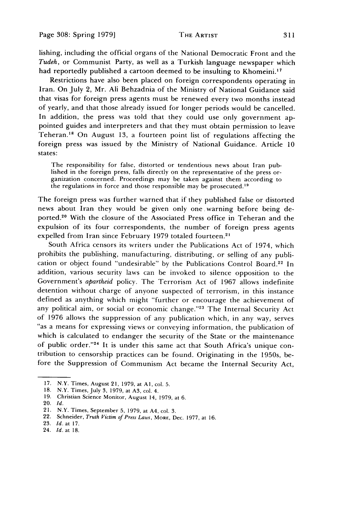lishing, including the official organs of the National Democratic Front and the *Tudeh,* or Communist Party, as well as a Turkish language newspaper which had reportedly published a cartoon deemed to be insulting to Khomeini.<sup>17</sup>

Restrictions have also been placed on foreign correspondents operating in Iran. On July 2, Mr. Ali Behzadnia of the Ministry of National Guidance said that visas for foreign press agents must be renewed every two months instead of yearly, and that those already issued for longer periods would be cancelled. In addition, the press was told that they could use only government appointed guides and interpreters and that they must obtain permission to leave Teheran."8 On August 13, a fourteen point list of regulations affecting the foreign press was issued by the Ministry of National Guidance. Article 10 states:

The responsibility for false, distorted or tendentious news about Iran pub-<br>lished in the foreign press, falls directly on the representative of the press organization concerned. Proceedings may be taken against them according to the regulations in force and those responsible may be prosecuted.19

The foreign press was further warned that if they published false or distorted news about Iran they would be given only one warning before being deported.<sup>20</sup> With the closure of the Associated Press office in Teheran and the expulsion of its four correspondents, the number of foreign press agents expelled from Iran since February 1979 totaled fourteen.<sup>21</sup>

South Africa censors its writers under the Publications Act of 1974, which prohibits the publishing, manufacturing, distributing, or selling of any publication or object found "undesirable" by the Publications Control Board.<sup>22</sup> In addition, various security laws can be invoked to silence opposition to the Government's *apartheid* policy. The Terrorism Act of 1967 allows indefinite detention without charge of anyone suspected of terrorism, in this instance defined as anything which might "further or encourage the achievement of any political aim, or social or economic change."<sup>23</sup> The Internal Security Act of 1976 allows the suppression of any publication which, in any way, serves "as a means for expressing views or conveying information, the publication of which is calculated to endanger the security of the State or the maintenance of public order."<sup>24</sup> It is under this same act that South Africa's unique contribution to censorship practices can be found. Originating in the 1950s, before the Suppression of Communism Act became the Internal Security Act,

<sup>17.</sup> N.Y. Times, August 21, 1979, at **Al,** col. 5.

<sup>18.</sup> N.Y. Times, July 3, 1979, at A3, col. 4.

<sup>19.</sup> Christian Science Monitor, August 14, 1979, at 6.

**<sup>20.</sup>** *Id.*

<sup>21.</sup> N.Y. Times, September 5, 1979, at A4, col. 3.

<sup>22.</sup> Schneider, *Truth Victim of Press Laws,* MORE, Dec. 1977, at 16.

**<sup>23.</sup>** *Id.* at 17.

<sup>24.</sup> *Id.* at 18.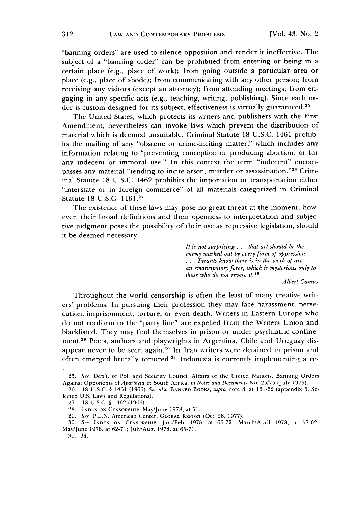"banning orders" are used to silence opposition and render it ineffective. The subject of a "banning order" can be prohibited from entering or being in a certain place (e.g., place of work); from going outside a particular area or place (e.g., place of abode); from communicating with any other person; from receiving any visitors (except an attorney); from attending meetings; from engaging in any specific acts (e.g., teaching, writing, publishing). Since each order is custom-designed for its subject, effectiveness is virtually guaranteed.<sup>25</sup>

The United States, which protects its writers and publishers with the First Amendment, nevertheless can invoke laws which prevent the distribution of material which is deemed unsuitable. Criminal Statute 18 U.S.C. 1461 prohibits the mailing of any "obscene or crime-inciting matter," which includes any information relating to "preventing conception or producing abortion, or for any indecent or immoral use." In this context the term "indecent" encompasses any material "tending to incite arson, murder or assassination."26 Criminal Statute 18 U.S.C. 1462 prohibits the importation or transportation either "interstate or in foreign commerce" of all materials categorized in Criminal Statute 18 U.S.C. 1461.27

The existence of these laws may pose no great threat at the moment; however, their broad definitions and their openness to interpretation and subjective judgment poses the possibility of their use as repressive legislation, should it be deemed necessary.

> *It is not surprising.., that art should be the enemy marked out by every form of oppression.* **...** *Tyrants know there is in the work of art an emancipatory force, which is mysterious only to those who do not revere it. 28*

*-Albert Camus*

Throughout the world censorship is often the least of many creative writers' problems. In pursuing their profession they may face harassment, persecution, imprisonment, torture, or even death. Writers in Eastern Europe who do not conform to the "party line" are expelled from the Writers Union and blacklisted. They may find themselves in prison or under psychiatric confinement.<sup>29</sup> Poets, authors and playwrights in Argentina, Chile and Uruguay disappear never to be seen again.<sup>30</sup> In Iran writers were detained in prison and often emerged brutally tortured.<sup>31</sup> Indonesia is currently implementing a re-

<sup>25.</sup> *See,* Dep't. of Pol. and Security Council Affairs of the United Nations, Banning Orders Against Opponents *of Apartheid* in South Africa, in *Notes and Documents* No. 25/75 (July 1975).

<sup>26. 18</sup> U.S.C. § 1461 (1966). *See also* **BANNED BOOKS,** *supra* note 8, at 161-62 (appendix 5, Selected U.S. Laws and Regulations).

<sup>27. 18</sup> U.S.C. § 1462 (1966).

<sup>28.</sup> **INDEX ON CENSORSHIP,** May/June 1978, at 51.

<sup>29.</sup> *See,* P.E.N. American Center, GLOBAL REPORT (Oct. 28, 1977).

**<sup>30.</sup>** *See* **INDEX ON CENSORSHIP,** Jan./Feb. 1978, at 66-72; March/April 1978, at 57-62; May/June 1978, at 62-71; July/Aug. 1978, at 65-71.

*<sup>31.</sup> Id.*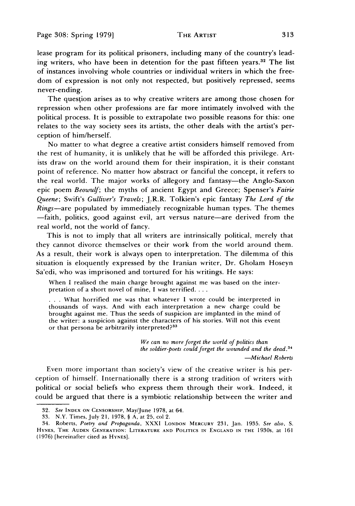lease program for its political prisoners, including many of the country's leading writers, who have been in detention for the past fifteen years. 32 The list of instances involving whole countries or individual writers in which the freedom of expression is not only not respected, but positively repressed, seems never-ending.

The question arises as to why creative writers are among those chosen for repression when other professions are far more intimately involved with the political process. It is possible to extrapolate two possible reasons for this: one relates to the way society sees its artists, the other deals with the artist's perception of him/herself.

No matter to what degree a creative artist considers himself removed from the rest of humanity, it is unlikely that he will be afforded this privilege. Artists draw on the world around them for their inspiration, it is their constant point of reference. No matter how abstract or fanciful the concept, it refers to the real world. The major works of allegory and fantasy-the Anglo-Saxon epic poem *Beowulf;* the myths of ancient Egypt and Greece; Spenser's *Fairie Queene;* Swift's *Gulliver's Travels;* J.R.R. Tolkien's epic fantasy *The Lord of the Rings-are* populated by immediately recognizable human types. The themes -faith, politics, good against evil, art versus nature-are derived from the real world, not the world of fancy.

This is not to imply that all writers are intrinsically political, merely that they cannot divorce themselves or their work from the world around them. As a result, their work is always open to interpretation. The dilemma of this situation is eloquently expressed by the Iranian writer, Dr. Gholam Hoseyn Sa'edi, who was imprisoned and tortured for his writings. He says:

When I realised the main charge brought against me was based on the interpretation of a short novel of mine, **I** was terrified....

**• . .** What horrified me was that whatever I wrote could be interpreted in thousands of ways. And with each interpretation a new charge could be brought against me. Thus the seeds of suspicion are implanted in the mind of the writer: a suspicion against the characters of his stories. Will not this event or that persona be arbitrarily interpreted?<sup>33</sup>

> *We can no more forget the world of politics than the soldier-poets could forget the wounded and the dead.<sup>34</sup> -Michael Roberts*

Even more important than society's view of the creative writer is his perception of himself. Internationally there is a strong tradition of writers with political or social beliefs who express them through their work. Indeed, it could be argued that there is a symbiotic relationship between the writer and

<sup>32.</sup> *See* **INDEX ON** CENSORSHIP, May/June 1978, at 64.

<sup>33.</sup> N.Y. Times, July 21, 1978, **§** A, at 25, col 2.

<sup>34.</sup> Roberts, *Poetry and Propaganda,* XXXI **LONDON** MERCURY 231, Jan. 1935. *See also, S.* **HYNES, THE AUDEN GENERATION:** LITERATURE **AND** POLITICS **IN ENGLAND** IN THE 1930s, at 161 (1976) [hereinafter cited as **HYNES].**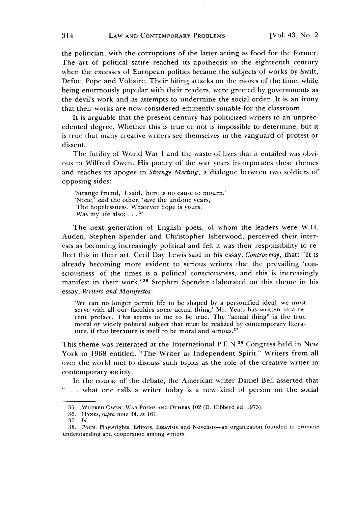the politician, with the corruptions of the latter acting as food for the former. The art of political satire reached its apotheosis in the eighteenth century when the excesses of European politics became the subjects of works by Swift, Defoe, Pope and Voltaire. Their biting attacks on the mores of the time, while being enormously popular with their readers, were greeted by governments as the devil's work and as attempts to undermine the social order. It is an irony that their works are now considered eminently suitable for the classroom.

It is arguable that the present century has politicized writers to an unprecedented degree. Whether this is true or not is impossible to determine, but it is true that many creative writers see themselves in the vanguard of protest or dissent.

The futility of World War I and the waste of lives that it entailed was obvious to Wilfred Owen. His poetry of the war years incorporates these themes and reaches its apogee in *Strange Meeting,* a dialogue between two soldiers of opposing sides:

'Strange friend,' I said, 'here is no cause to mourn.' 'None,' said the other, 'save the undone years, The hopelessness. Whatever hope is yours, Was my life also; . . .<sup>35</sup>

The next generation of English poets, of whom the leaders were W.H. Auden, Stephen Spender and Christopher Isherwood, perceived their interests as becoming increasingly political and felt it was their responsibility to reflect this in their art. Cecil Day Lewis said in his essay, *Controversy,* that: "It is already becoming more evident to serious writers that the prevailing 'consciousness' of the times is a political consciousness, and this is increasingly manifest in their work."<sup>36</sup> Stephen Spender elaborated on this theme in his essay, *Writers and Manifestos:*

'We can no longer permit life to be shaped by a personified ideal, we must serve with all our faculties some actual thing,' Mr. Yeats has written in a recent preface. This seems to me to be true. The "actual thing" is the true moral or widely political subject that must be realized by contemporary literature, if that literature is itself to be moral and serious.<sup>37</sup>

This theme was reiterated at the International P.E.N.<sup>38</sup> Congress held in New York in 1968 entitled, "The Writer as Independent Spirit." Writers from all over the world met to discuss such topics as the role of the creative writer in contemporary society.

In the course of the debate, the American writer Daniel Bell asserted that **...** what one calls a writer today is a new kind of person on the social

<sup>35.</sup> WILFRED OWEN: WAR **POEMS AND** OTHERS 102 (D. Hibberd ed. 1973).

<sup>36.</sup> **HYNES,** *supra* note 34, at 161.

<sup>37.</sup> *Id.*

<sup>38.</sup> Poets, Playwrights, Editors, Essayists and Novelists-an organization founded to promote understanding and cooperation among writers.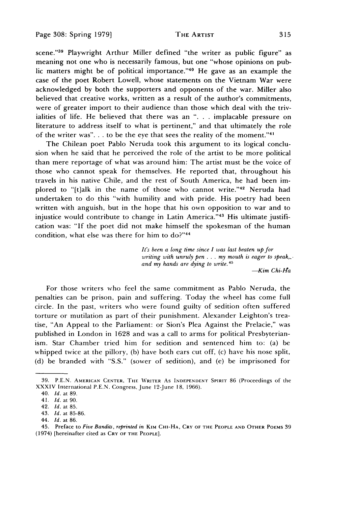## **THE** ARTIST

scene."<sup>39</sup> Playwright Arthur Miller defined "the writer as public figure" as meaning not one who is necessarily famous, but one "whose opinions on public matters might be of political importance."40 He gave as an example the case of the poet Robert Lowell, whose statements on the Vietnam War were acknowledged by both the supporters and opponents of the war. Miller also believed that creative works, written as a result of the author's commitments, were of greater import to their audience than those which deal with the trivialities of life. He believed that there was an ". . . implacable pressure on literature to address itself to what is pertinent," and that ultimately the role of the writer was". **. .** to be the eye that sees the reality of the moment."'4I

The Chilean poet Pablo Neruda took this argument to its logical conclusion when he said that he perceived the role of the artist to be more political than mere reportage of what was around him: The artist must be the voice of those who cannot speak for themselves. He reported that, throughout his travels in his native Chile, and the rest of South America, he had been implored to "[t]alk in the name of those who cannot write."<sup>42</sup> Neruda had undertaken to do this "with humility and with pride. His poetry had been written with anguish, but in the hope that his own opposition to war and to injustice would contribute to change in Latin America."<sup>43</sup> His ultimate justification was: "If the poet did not make himself the spokesman of the human condition, what else was there for him to do?"<sup>44</sup>

> *It's been a long time since I was last beaten up for writing with unruly pen* .*.* .*my mouth is eager to speak,.. and my hands are dying to write.45*

*-Kim Chi-Ita*

For those writers who feel the same commitment as Pablo Neruda, the penalties can be prison, pain and suffering. Today the wheel has come full circle. In the past, writers who were found guilty of sedition often suffered torture or mutilation as part of their punishment. Alexander Leighton's treatise, "An Appeal to the Parliament: or Sion's Plea Against the Prelacie," was published in London in 1628 and was a call to arms for political Presbyterianism. Star Chamber tried him for sedition and sentenced him to: (a) be whipped twice at the pillory, (b) have both ears cut off, (c) have his nose split, (d) be branded with "S.S." (sower of sedition), and (e) be imprisoned for

<sup>39.</sup> **P.E.N.** AMERICAN **CENTER,** THE WRITER As **INDEPENDENT** SPIRIT **86** (Proceedings of the XXXIV International **P.E.N.** Congress, June 12-June 18, 1966).

<sup>40.</sup> *Id.* at 89.

<sup>41.</sup> Id. at 90.

<sup>42.</sup> *Id.* at 85.

<sup>43.</sup> *Id.* at 85-86.

<sup>44.</sup> *Id.* at 86.

<sup>45.</sup> Preface to *Five Bandits, reprinted in* KIM CHI-HA, CRY OF THE PEOPLE **AND** OTHER **POEMS** 39 (1974) [hereinafter cited as CRY OF THE PEOPLE].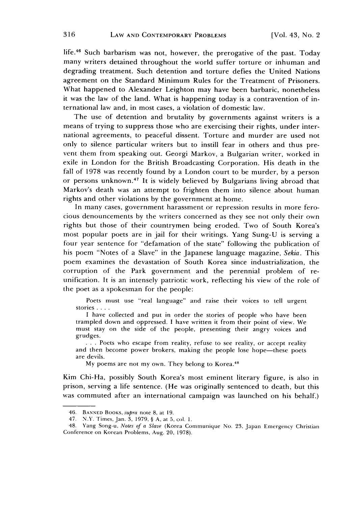life.<sup>46</sup> Such barbarism was not, however, the prerogative of the past. Today many writers detained throughout the world suffer torture or inhuman and degrading treatment. Such detention and torture defies the United Nations agreement on the Standard Minimum Rules for the Treatment of Prisoners. What happened to Alexander Leighton may have been barbaric, nonetheless it was the law of the land. What is happening today is a contravention of international law and, in most cases, a violation of domestic law.

The use of detention and brutality by governments against writers is a means of trying to suppress those who are exercising their rights, under international agreements, to peaceful dissent. Torture and murder are used not only to silence particular writers but to instill fear in others and thus prevent them from speaking out. Georgi Markov, a Bulgarian writer, worked in exile in London for the British Broadcasting Corporation. His death in the fall of 1978 was recently found by a London court to be murder, by a person or persons unknown.<sup>47</sup> It is widely believed by Bulgarians living abroad that Markov's death was an attempt to frighten them into silence about human rights and other violations by the government at home.

In many cases, government harassment or repression results in more ferocious denouncements by the writers concerned as they see not only their own rights but those of their countrymen being eroded. Two of South Korea's most popular poets are in jail for their writings. Yang Sung-U is serving a four year sentence for "defamation of the state" following the publication of his poem "Notes of a Slave" in the Japanese language magazine, *Sekia.* This poem examines the devastation of South Korea since industrialization, the corruption of the Park government and the perennial problem of reunification. It is an intensely patriotic work, reflecting his view of the role of the poet as a spokesman for the people:

Poets must use "real language" and raise their voices to tell urgent stories . . . .

I have collected and put in order the stories of people who have been trampled down and oppressed. I have written it from their point of view. We must stay on the side of the people, presenting their angry voices and grudges.

**...** Poets who escape from reality, refuse to see reality, or accept reality and then become power brokers, making the people lose hope—these poets are devils.

My poems are not my own. They belong to Korea.<sup>48</sup>

Kim Chi-Ha, possibly South Korea's most eminent literary figure, is also in prison, serving a life sentence. (He was originally sentenced to death, but this was commuted after an international campaign was launched on his behalf.)

<sup>46.</sup> **BANNED** BOOKS, *supra* note 8, at 19.

<sup>47.</sup> N.Y. Times, Jan. 3, 1979, § A, at 5, col. **1.**

<sup>48.</sup> Yang Song-u, *Notes of a Slave* (Korea Communique No. **23,** Japan Emergency Christian Conference on Korean Problems, Aug. 20, 1978).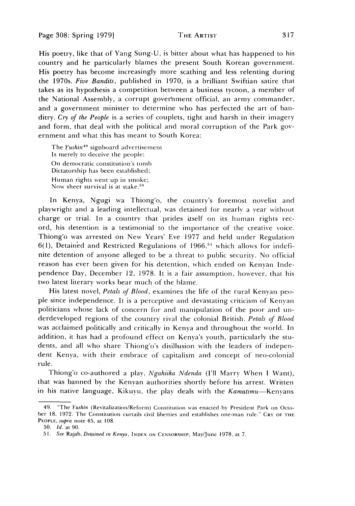His poetry, like that of Yang Sung-U, is bitter about what has happened to his country and he particularly blames the present South Korean government. His poetry has become increasingly more scathing and less relenting during the 1970s. *Five Bandits,* published in 1970, is a brilliant Swiftian satire that takes as its hypothesis a competition between a business tycoon, a member of the National Assembly, a corrupt government official, an army commander, and a government minister to determine who has perfected the art of banditry. *Cry of the People* is a series of couplets, tight and harsh in their imagery and form, that deal with the political and moral corruption of the Park government and what this has meant to South Korea:

The *Yushin*<sup>49</sup> signboard advertisement Is merely to deceive the people; On democratic constitution's tomb Dictatorship has been established; Human rights went up in smoke; Now sheer survival is at stake.<sup>50</sup>

In Kenya, Ngugi wa Thiong'o, the country's foremost novelist and playwright and a leading intellectual, was detained for nearly a year without charge or trial. In a country that prides itself on its human rights record, his detention is a testimonial to the importance of the creative voice. Thiong'o was arrested on New Years' Eve 1977 and held under Regulation  $6(1)$ , Detained and Restricted Regulations of 1966,<sup>51</sup> which allows for indefinite detention of anyone alleged to be a threat to public security. No official reason has ever been given for his detention, which ended on Kenyan Independence Day, December 12, 1978. It is a fair assumption, however, that his two latest literary works bear much of the blame.

His latest novel, *Petals of Blood,* examines the life of the rural Kenyan peopie since independence. It is a perceptive and devastating criticism of Kenvan politicians whose lack of concern for and manipulation of the poor and underdeveloped regions of the country rival the colonial British. *Petals of Blood* was acclaimed politically and critically in Kenya and throughout the world. In addition, it has had a profound effect on Kenya's youth, particularly the students, and all who share Thiong'o's disillusion with the leaders of independent Kenya, with their embrace of capitalism and concept of neo-colonial rule.

Thiong'o co-authored a play, *Ngahiika Ndenda* (I'll Marry When **I** Want), that was banned by the Kenyan authorities shortly before his arrest. Written in his native language, Kikuyu, the play deals with the *Kamatimu-Kenyans*

<sup>49. &</sup>quot;The *Yushin* (Revitalization/Reform) Constitution was enacted by President Park on October 18, 1972. The Constitution curtails civil liberties and establishes one-man rule." *CRY* **OF THE** PEOPLE, *supra* note 45, at 108.

<sup>50.</sup> *Id.* at 90.

*<sup>51.</sup> See* Rajab, Detained *in Kenya,* **INDEX ON** CENSORSHIP, May/June 1978, at 7.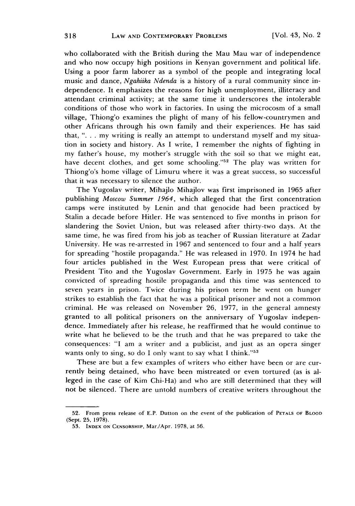who collaborated with the British during the Mau Mau war of independence and who now occupy high positions in Kenyan government and political life. Using a poor farm laborer as a symbol of the people and integrating local music and dance, *Ngahiika Ndenda* is a history of a rural community since independence. It emphasizes the reasons for high unemployment, illiteracy and attendant criminal activity; at the same time it underscores the intolerable conditions of those who work in factories. In using the microcosm of a small village, Thiong'o examines the plight of many of his fellow-countrymen and other Africans through his own family and their experiences. He has said that, ". . . my writing is really an attempt to understand myself and my situation in society and history. As I write, I remember the nights of fighting in my father's house, my mother's struggle with the soil so that we might eat, have decent clothes, and get some schooling."<sup>52</sup> The play was written for Thiong'o's home village of Limuru where it was a great success, so successful that it was necessary to silence the author.

The Yugoslav writer, Mihajlo Mihajlov was first imprisoned in 1965 after publishing *Moscow Summer 1964,* which alleged that the first concentration camps were instituted by Lenin and that genocide had been practiced by Stalin a decade before Hitler. He was sentenced to five months in prison for slandering the Soviet Union, but was released after thirty-two days. At the same time, he was fired from his job as teacher of Russian literature at Zadar University. He was re-arrested in 1967 and sentenced to four and a half years for spreading "hostile propaganda." He was released in 1970. In 1974 he had four articles published in the West European press that were critical of President Tito and the Yugoslav Government. Early in 1975 he was again convicted of spreading hostile propaganda and this time was sentenced to seven years in prison. Twice during his prison term he went on hunger strikes to establish the fact that he was a political prisoner and not a common criminal. He was released on November 26, 1977, in the general amnesty granted to all political prisoners on the anniversary of Yugoslav independence. Immediately after his release, he reaffirmed that he would continue to write what he believed to be the truth and that he was prepared to take the consequences: **"I** am a writer and a publicist, and just as an opera singer wants only to sing, so do I only want to say what I think." $53$ 

These are but a few examples of writers who either have been or are currently being detained, who have been mistreated or even tortured (as is alleged in the case of Kim Chi-Ha) and who are still determined that they will not be silenced. There are untold numbers of creative writers throughout the

<sup>52.</sup> From press release of E.P. Dutton on the event of the publication of **PETALS OF BLOOD** (Sept. 25, 1978).

<sup>53.</sup> **INDEX ON CENSORSHIP,** Mar./Apr. 1978, at 56.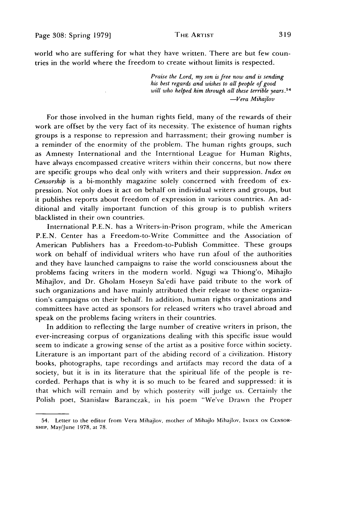world who are suffering for what they have written. There are but few countries in the world where the freedom to create without limits is respected.

> *Praise the Lord, my son is free now and is sending his best regards and wishes to all people of good will who helped him through all these terrible years. 5 4 -Vera Mihajlov*

For those involved in the human rights field, many of the rewards of their work are offset by the very fact of its necessity. The existence of human rights groups is a response to repression and harrassment; their growing number is a reminder of the enormity of the problem. The human rights groups, such as Amnesty International and the Interntional League for Human Rights, have always encompassed creative writers within their concerns, but now there are specific groups who deal only with writers and their suppression. *Index on Censorship* is a bi-monthly magazine solely concerned with freedom of expression. Not only does it act on behalf on individual writers and groups, but it publishes reports about freedom of expression in various countries. An additional and vitally important function of this group is to publish writers blacklisted in their own countries.

International P.E.N. has a Writers-in-Prison program, while the American P.E.N. Center has a Freedom-to-Write Committee and the Association of American Publishers has a Freedom-to-Publish Committee. These groups work on behalf of individual writers who have run afoul of the authorities and they have launched campaigns to raise the world consciousness about the problems facing writers in the modern world. Ngugi wa Thiong'o, Mihajlo Mihajlov, and Dr. Gholam Hoseyn Sa'edi have paid tribute to the work of such organizations and have mainly attributed their release to these organization's campaigns on their behalf. In addition, human rights organizations and committees have acted as sponsors for released writers who travel abroad and speak on the problems facing writers in their countries.

In addition to reflecting the large number of creative writers in prison, the ever-increasing corpus of organizations dealing with this specific issue would seem to indicate a growing sense of the artist as a positive force within society. Literature is an important part of the abiding record of a civilization. History books, photographs, tape recordings and artifacts may record the data of a society, but it is in its literature that the spiritual life of the people is recorded. Perhaps that is why it is so much to be feared and suppressed: it is that which will remain and by which posterity will judge us. Certainly the Polish poet, Stanislaw Baranczak, in his poem "We've Drawn the Proper

<sup>54.</sup> Letter to the editor from Vera Mihajlov, mother of Mihajlo Mihajlov, INDEX ON CENSOR-**SHIP,** May/June 1978, at 78.